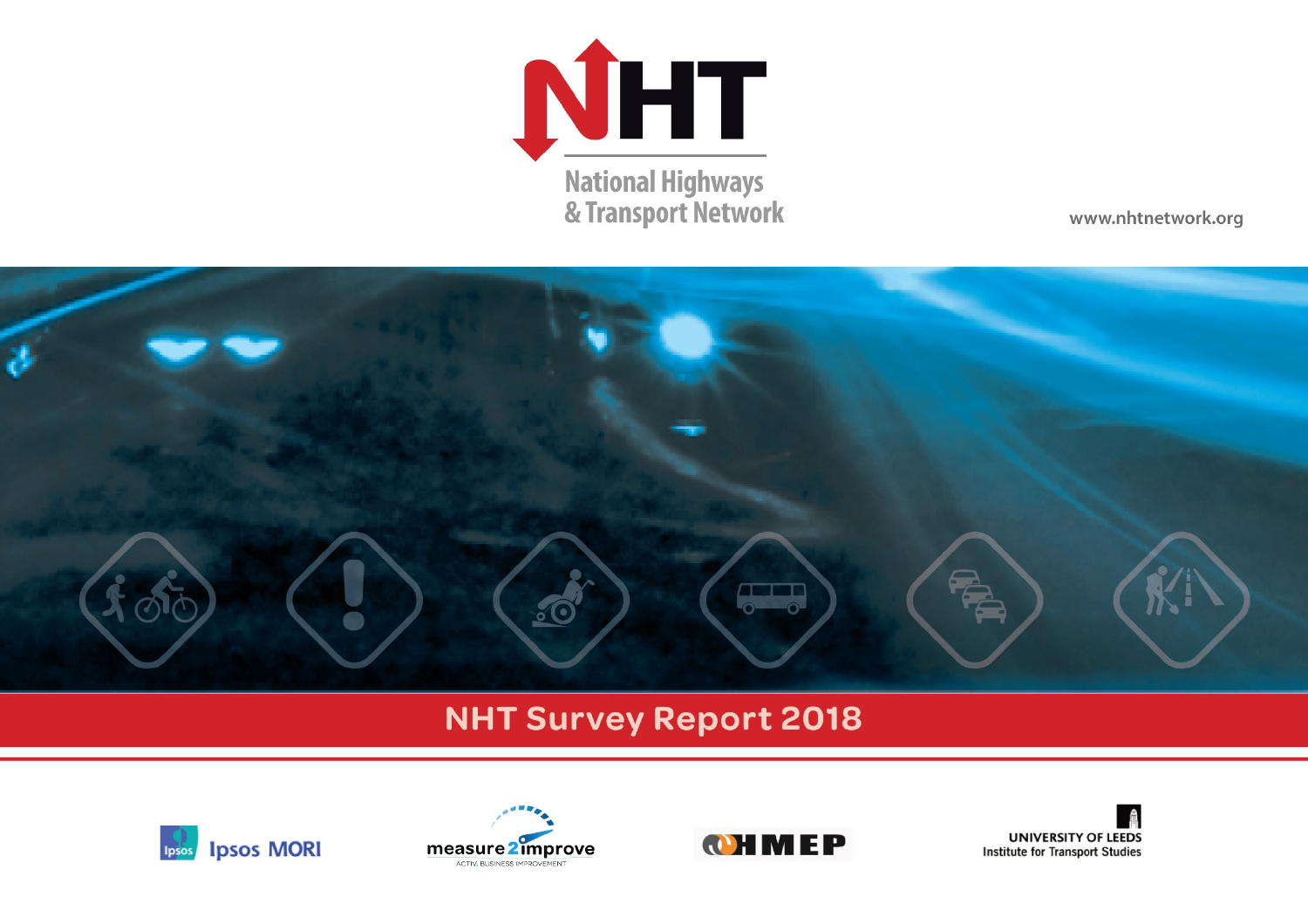

www.nhtnetwork.org



# **NHT Survey Report 2018**







**UNIVERSITY OF LEEDS Institute for Transport Studies**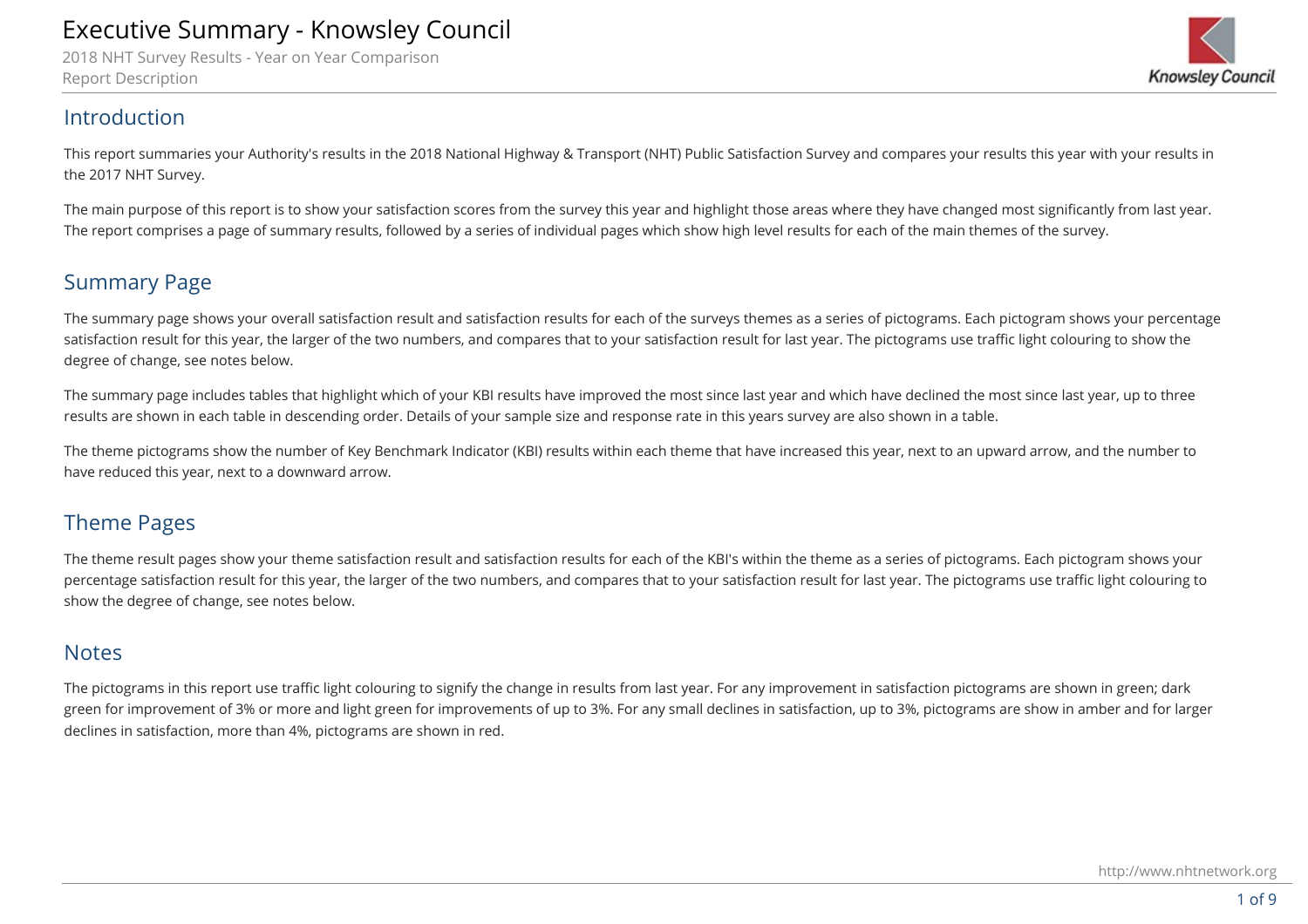2018 NHT Survey Results - Year on Year Comparison Report Description



### Introduction

This report summaries your Authority's results in the 2018 National Highway & Transport (NHT) Public Satisfaction Survey and compares your results this year with your results in the 2017 NHT Survey.

The main purpose of this report is to show your satisfaction scores from the survey this year and highlight those areas where they have changed most significantly from last year. The report comprises a page of summary results, followed by a series of individual pages which show high level results for each of the main themes of the survey.

## Summary Page

The summary page shows your overall satisfaction result and satisfaction results for each of the surveys themes as a series of pictograms. Each pictogram shows your percentage satisfaction result for this year, the larger of the two numbers, and compares that to your satisfaction result for last year. The pictograms use traffic light colouring to show the degree of change, see notes below.

The summary page includes tables that highlight which of your KBI results have improved the most since last year and which have declined the most since last year, up to three results are shown in each table in descending order. Details of your sample size and response rate in this years survey are also shown in a table.

The theme pictograms show the number of Key Benchmark Indicator (KBI) results within each theme that have increased this year, next to an upward arrow, and the number to have reduced this year, next to a downward arrow.

## Theme Pages

The theme result pages show your theme satisfaction result and satisfaction results for each of the KBI's within the theme as a series of pictograms. Each pictogram shows your percentage satisfaction result for this year, the larger of the two numbers, and compares that to your satisfaction result for last year. The pictograms use traffic light colouring to show the degree of change, see notes below.

## Notes

The pictograms in this report use traffic light colouring to signify the change in results from last year. For any improvement in satisfaction pictograms are shown in green; dark green for improvement of 3% or more and light green for improvements of up to 3%. For any small declines in satisfaction, up to 3%, pictograms are show in amber and for larger declines in satisfaction, more than 4%, pictograms are shown in red.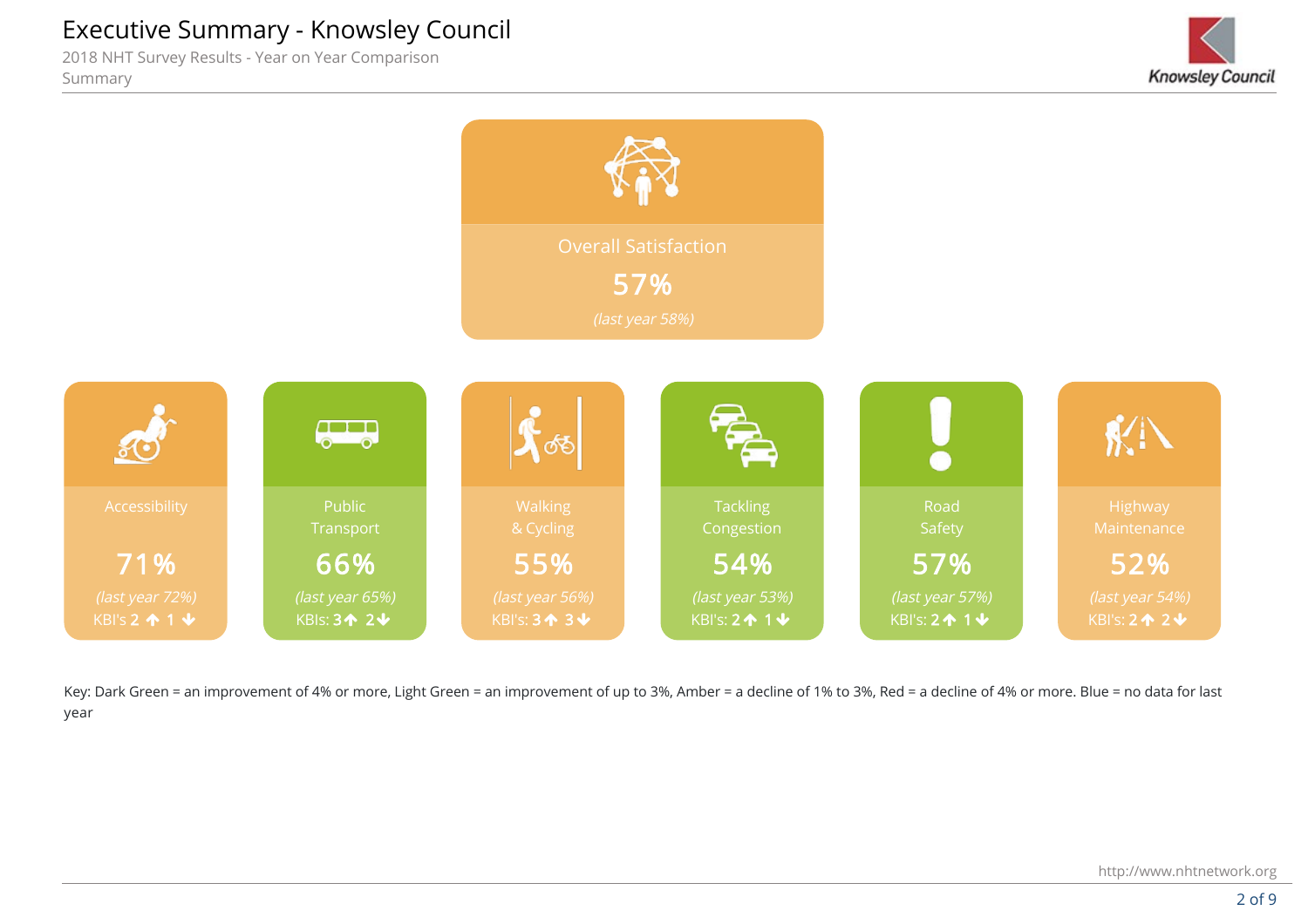2018 NHT Survey Results - Year on Year Comparison Summary

KBI 03 - Eastern Access (all) 13 - Eastern Access (all) 13 - Eastern Access (all) 13 - Eastern Access (all) 13





Key: Dark Green = an improvement of 4% or more, Light Green = an improvement of up to 3%, Amber = a decline of 1% to 3%, Red = a decline of 4% or more. Blue = no data for last year

KBI 05 - Eastern Communication (no car) -5 - Eastern Communication (no car) -5 - Eastern Communication (no car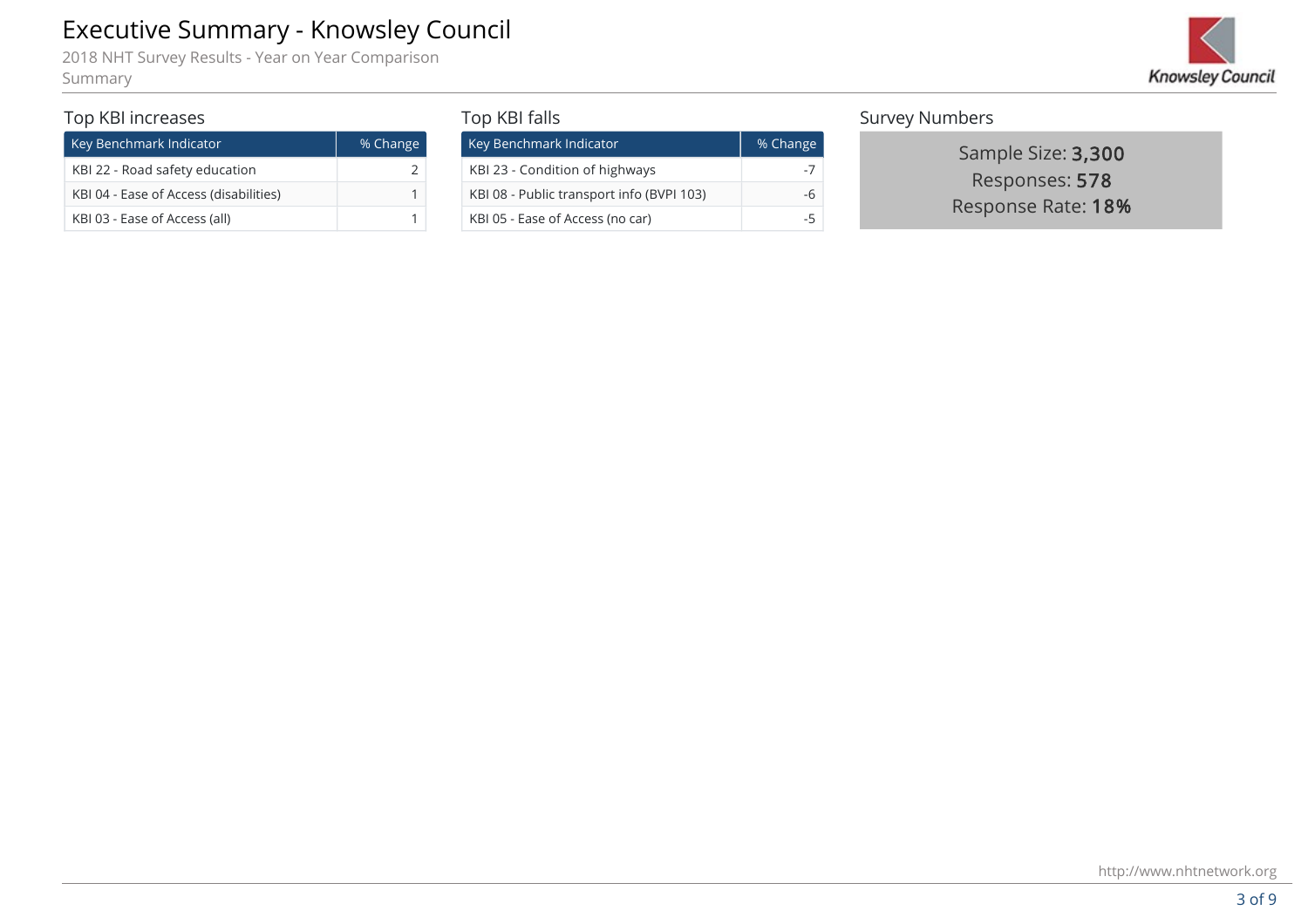

#### Top KBI increases

| Key Benchmark Indicator                | % Change |
|----------------------------------------|----------|
| KBI 22 - Road safety education         |          |
| KBI 04 - Ease of Access (disabilities) |          |
| KBI 03 - Ease of Access (all)          |          |

#### Top KBI falls

| Executive Summary - Knowsley Council<br>2018 NHT Survey Results - Year on Year Comparison<br>Summary |          |                                           |                       |                                      |  |
|------------------------------------------------------------------------------------------------------|----------|-------------------------------------------|-----------------------|--------------------------------------|--|
| Top KBI increases                                                                                    |          | Top KBI falls                             | <b>Survey Numbers</b> |                                      |  |
| Key Benchmark Indicator                                                                              | % Change | Key Benchmark Indicator                   | % Change              | Sample Size: 3,300                   |  |
| KBI 22 - Road safety education                                                                       |          | KBI 23 - Condition of highways            |                       | Responses: 578<br>Response Rate: 18% |  |
| KBI 04 - Ease of Access (disabilities)                                                               |          | KBI 08 - Public transport info (BVPI 103) | -6                    |                                      |  |
| KBI 03 - Ease of Access (all)                                                                        |          | KBI 05 - Ease of Access (no car)          | $-5$                  |                                      |  |

#### Survey Numbers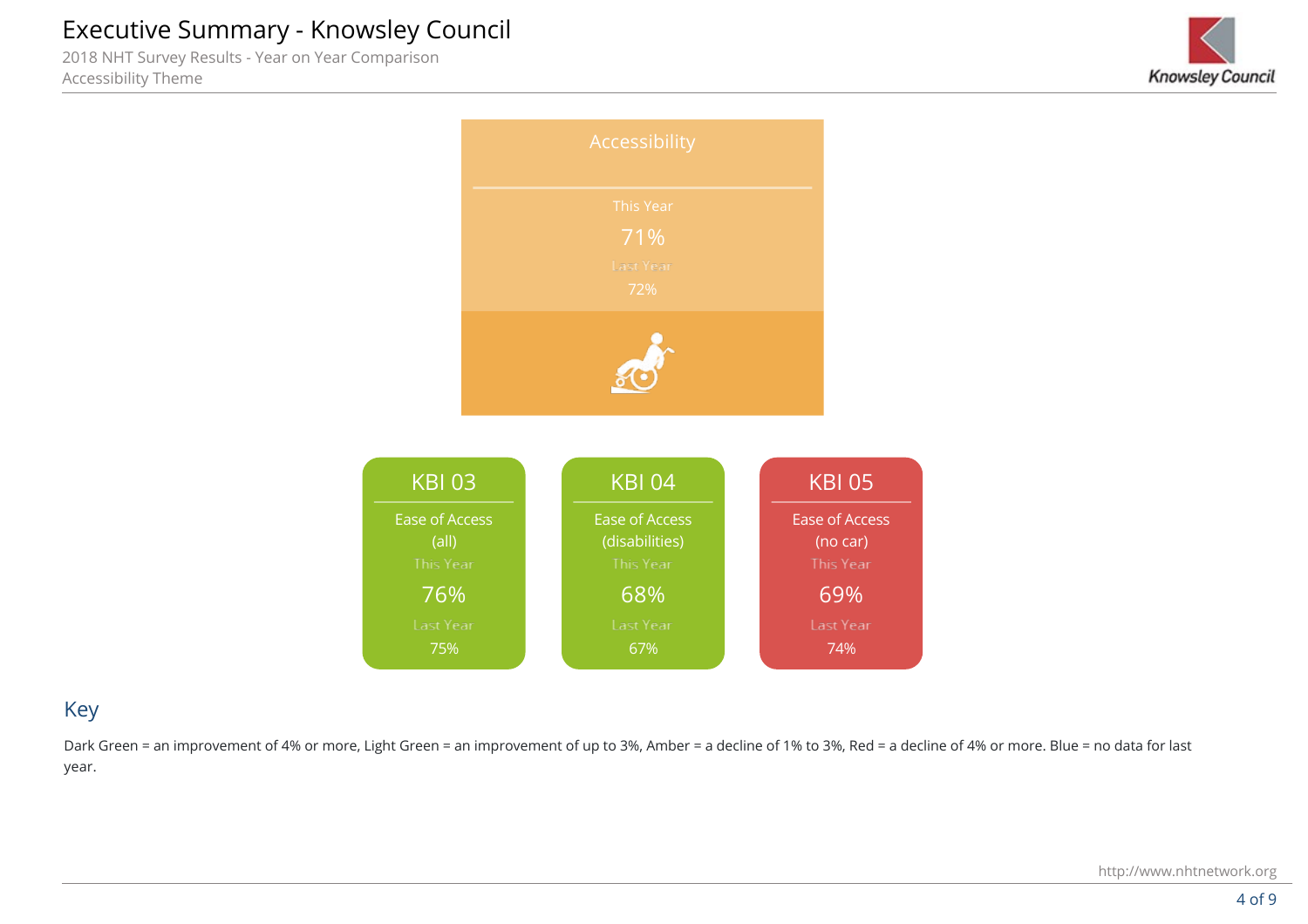2018 NHT Survey Results - Year on Year Comparison Accessibility Theme





### Key

Dark Green = an improvement of 4% or more, Light Green = an improvement of up to 3%, Amber = a decline of 1% to 3%, Red = a decline of 4% or more. Blue = no data for last year.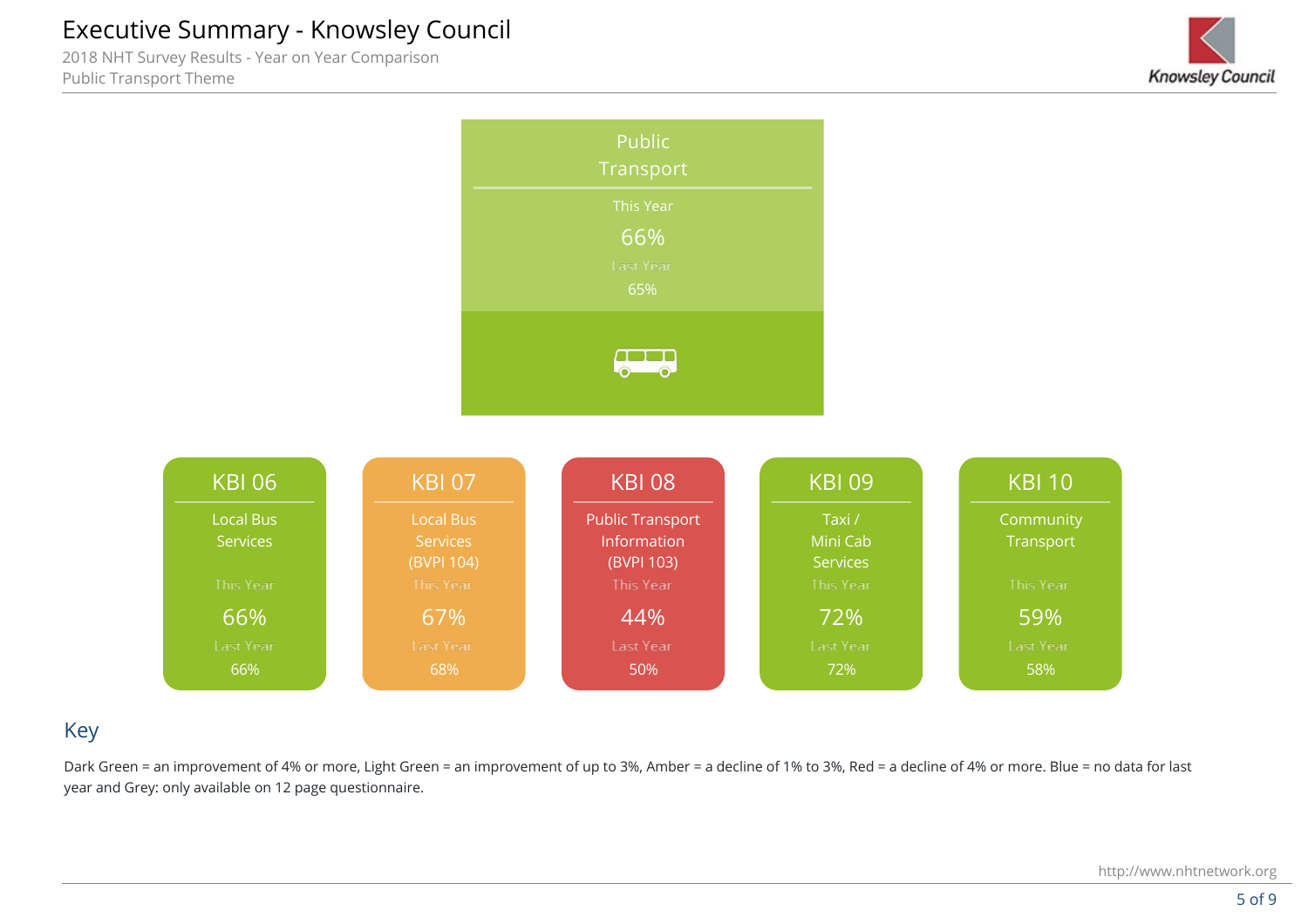2018 NHT Survey Results - Year on Year Comparison Public Transport Theme





## Key

Dark Green = an improvement of 4% or more, Light Green = an improvement of up to 3%. Amber = a decline of 1% to 3%, Red = a decline of 4% or more. Blue = no data for last year and Grey: only available on 12 page questionnaire.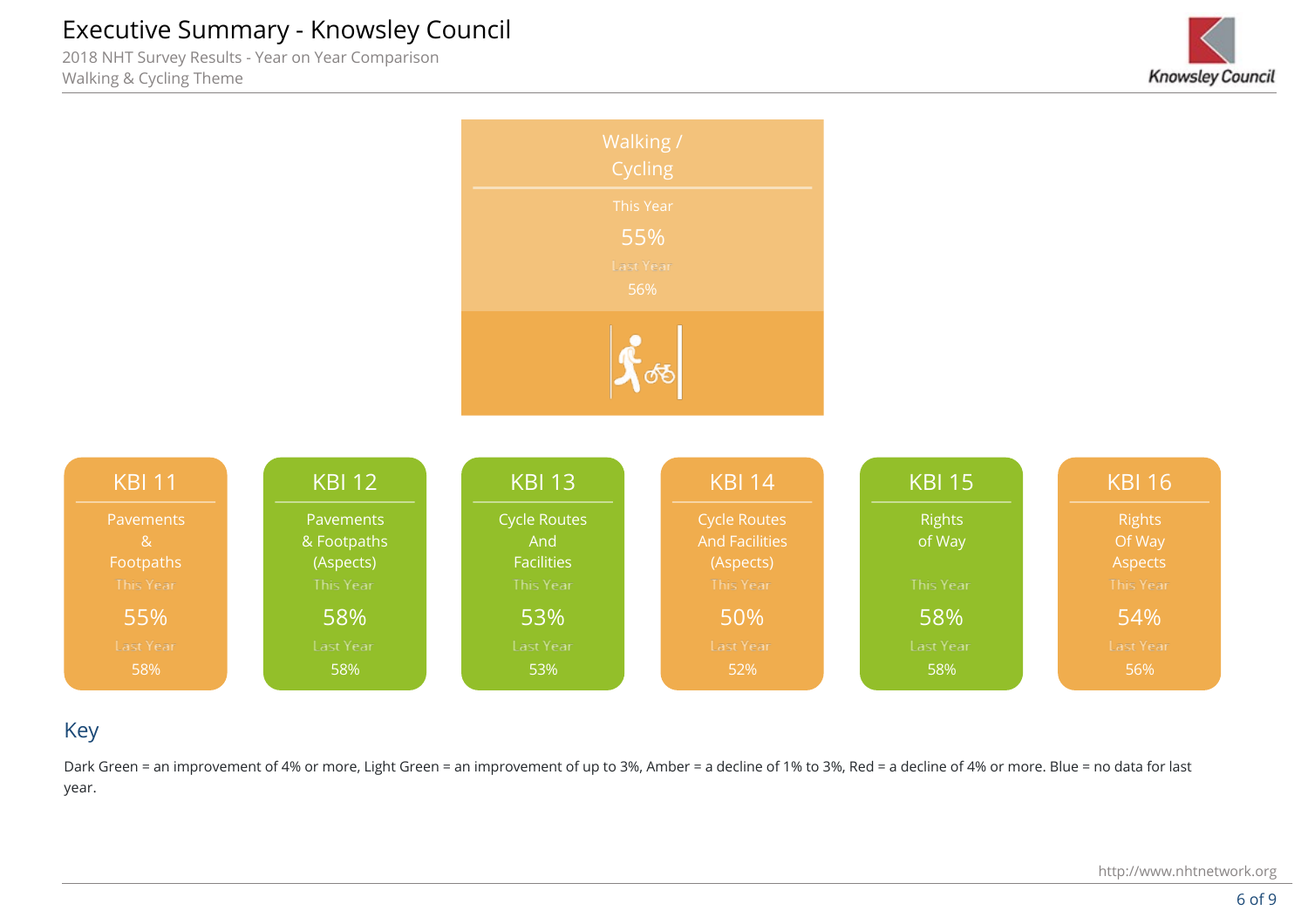2018 NHT Survey Results - Year on Year Comparison Walking & Cycling Theme







## Key

Dark Green = an improvement of 4% or more, Light Green = an improvement of up to 3%, Amber = a decline of 1% to 3%, Red = a decline of 4% or more. Blue = no data for last year.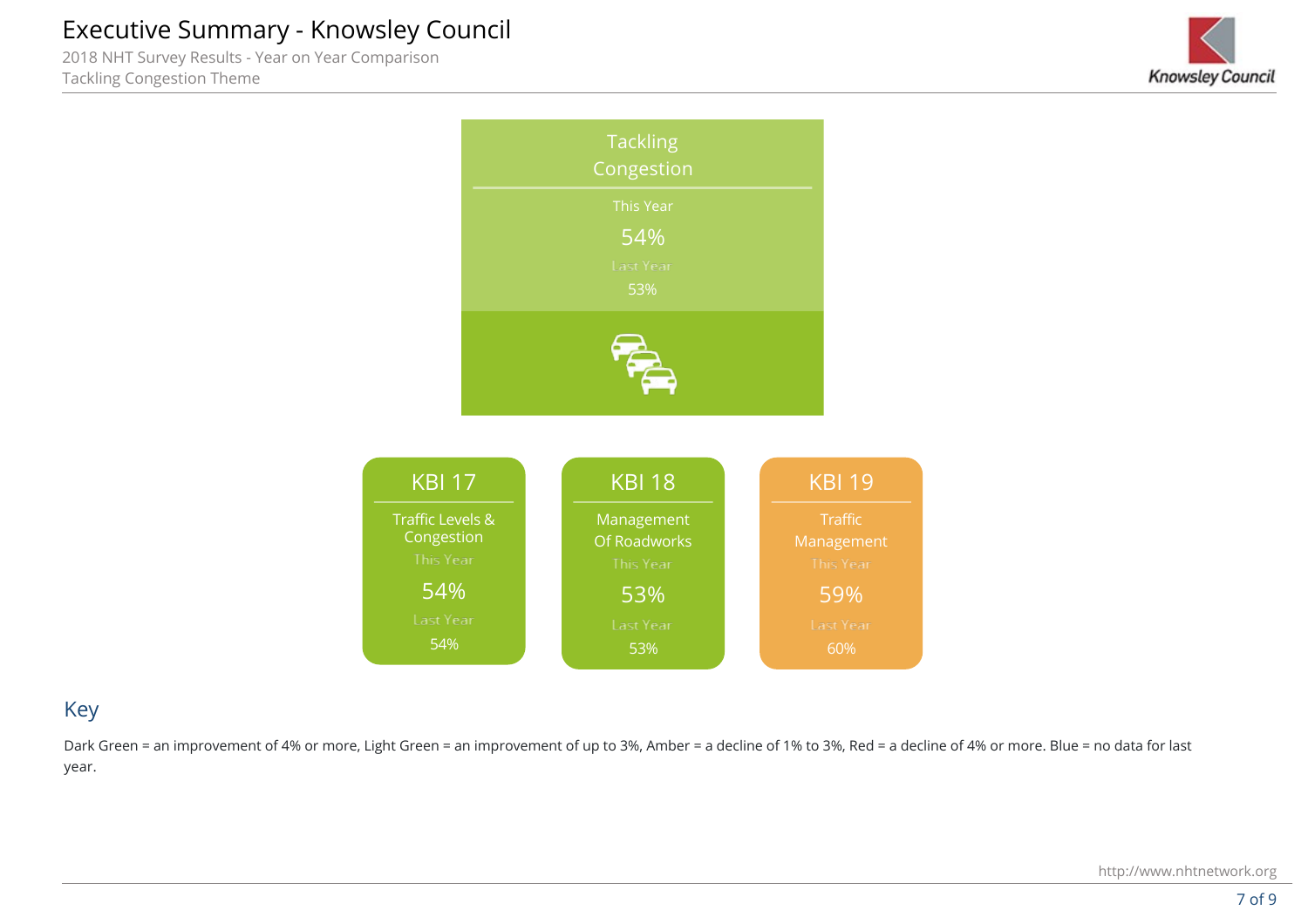2018 NHT Survey Results - Year on Year Comparison Tackling Congestion Theme





### Key

Dark Green = an improvement of 4% or more, Light Green = an improvement of up to 3%, Amber = a decline of 1% to 3%, Red = a decline of 4% or more. Blue = no data for last year.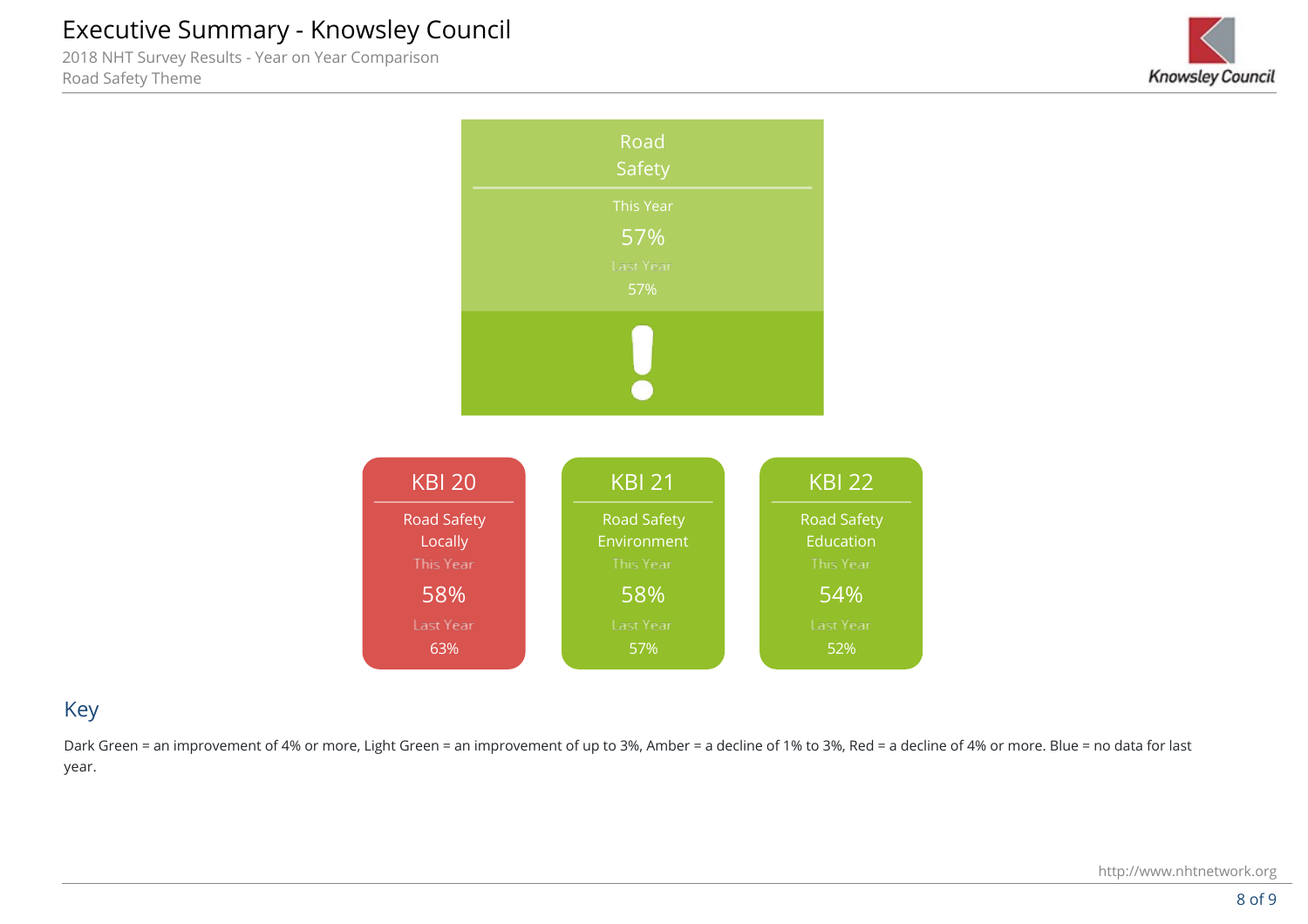2018 NHT Survey Results - Year on Year Comparison Road Safety Theme





## Key

Dark Green = an improvement of 4% or more, Light Green = an improvement of up to 3%, Amber = a decline of 1% to 3%, Red = a decline of 4% or more. Blue = no data for last year.